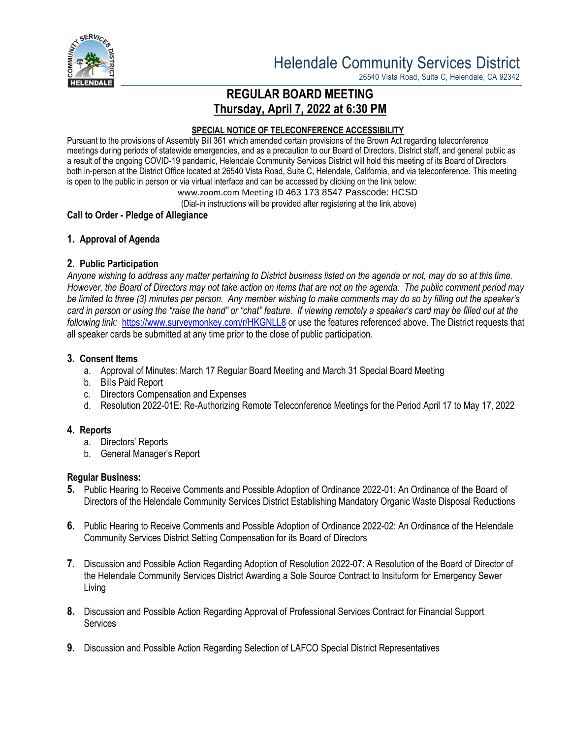

26540 Vista Road, Suite C, Helendale, CA 92342

# **REGULAR BOARD MEETING Thursday, April 7, 2022 at 6:30 PM**

#### **SPECIAL NOTICE OF TELECONFERENCE ACCESSIBILITY**

Pursuant to the provisions of Assembly Bill 361 which amended certain provisions of the Brown Act regarding teleconference meetings during periods of statewide emergencies, and as a precaution to our Board of Directors, District staff, and general public as a result of the ongoing COVID-19 pandemic, Helendale Community Services District will hold this meeting of its Board of Directors both in-person at the District Office located at 26540 Vista Road, Suite C, Helendale, California, and via teleconference. This meeting is open to the public in person or via virtual interface and can be accessed by clicking on the link below:

[www.zoom.com](http://www.zoom.com/) Meeting ID 463 173 8547 Passcode: HCSD

(Dial-in instructions will be provided after registering at the link above)

# **Call to Order - Pledge of Allegiance**

## **1. Approval of Agenda**

# **2. Public Participation**

*Anyone wishing to address any matter pertaining to District business listed on the agenda or not, may do so at this time. However, the Board of Directors may not take action on items that are not on the agenda. The public comment period may be limited to three (3) minutes per person. Any member wishing to make comments may do so by filling out the speaker's card in person or using the "raise the hand" or "chat" feature. If viewing remotely a speaker's card may be filled out at the following link:* <https://www.surveymonkey.com/r/HKGNLL8> or use the features referenced above. The District requests that all speaker cards be submitted at any time prior to the close of public participation.

## **3. Consent Items**

- a. Approval of Minutes: March 17 Regular Board Meeting and March 31 Special Board Meeting
- b. Bills Paid Report
- c. Directors Compensation and Expenses
- d. Resolution 2022-01E: Re-Authorizing Remote Teleconference Meetings for the Period April 17 to May 17, 2022

## **4. Reports**

- a. Directors' Reports
- b. General Manager's Report

## **Regular Business:**

- **5.** Public Hearing to Receive Comments and Possible Adoption of Ordinance 2022-01: An Ordinance of the Board of Directors of the Helendale Community Services District Establishing Mandatory Organic Waste Disposal Reductions
- **6.** Public Hearing to Receive Comments and Possible Adoption of Ordinance 2022-02: An Ordinance of the Helendale Community Services District Setting Compensation for its Board of Directors
- **7.** Discussion and Possible Action Regarding Adoption of Resolution 2022-07: A Resolution of the Board of Director of the Helendale Community Services District Awarding a Sole Source Contract to Insituform for Emergency Sewer Living
- **8.** Discussion and Possible Action Regarding Approval of Professional Services Contract for Financial Support **Services**
- **9.** Discussion and Possible Action Regarding Selection of LAFCO Special District Representatives